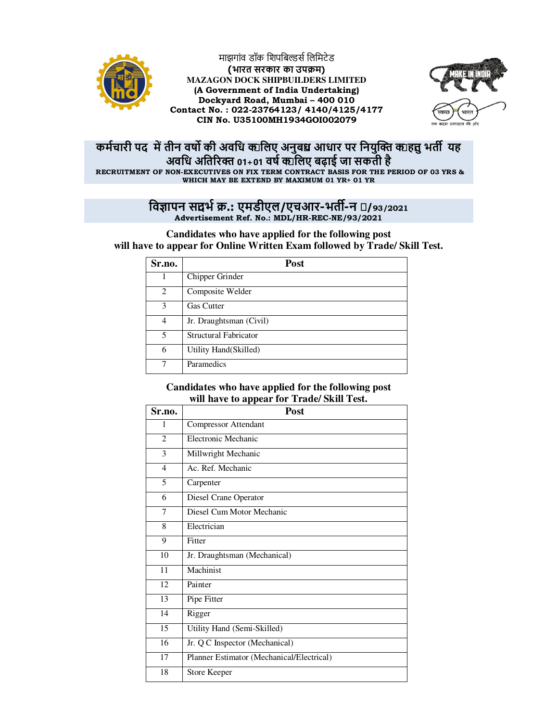

माझगांव डॉक शिपबिल्डर्स लिमिटेड **(भारत सरकार का उप म) MAZAGON DOCK SHIPBUILDERS LIMITED (A Government of India Undertaking) Dockyard Road, Mumbai – 400 010 Contact No. : 022-23764123/ 4140/4125/4177 CIN No. U35100MH1934GOI002079**



## **कमचारी पद मतीन वष की अविध केिलए अनुबंध आधार पर िनयु केहेतुभत# यह अविध अित\$र 01+01 वष के िलए बढ़ाई जा सकती है RECRUITMENT OF NON-EXECUTIVES ON FIX TERM CONTRACT BASIS FOR THE PERIOD OF 03 YRS & WHICH MAY BE EXTEND BY MAXIMUM 01 YR+ 01 YR**

## **िव,ापन संदभ .: एमडीएल/एचआर-भत#-न इ/93/2021**

**Advertisement Ref. No.: MDL/HR-REC-NE/93/2021** 

**Candidates who have applied for the following post will have to appear for Online Written Exam followed by Trade/ Skill Test.** 

| Sr.no.                      | Post                         |
|-----------------------------|------------------------------|
|                             | Chipper Grinder              |
| $\mathcal{D}_{\mathcal{L}}$ | Composite Welder             |
| $\mathcal{R}$               | <b>Gas Cutter</b>            |
| 4                           | Jr. Draughtsman (Civil)      |
| 5                           | <b>Structural Fabricator</b> |
| 6                           | Utility Hand (Skilled)       |
|                             | Paramedics                   |

## **Candidates who have applied for the following post will have to appear for Trade/ Skill Test.**

| Sr.no.         | Post                                      |  |  |
|----------------|-------------------------------------------|--|--|
| 1              | <b>Compressor Attendant</b>               |  |  |
| $\overline{2}$ | <b>Electronic Mechanic</b>                |  |  |
| 3              | Millwright Mechanic                       |  |  |
| $\overline{4}$ | Ac. Ref. Mechanic                         |  |  |
| 5              | Carpenter                                 |  |  |
| 6              | Diesel Crane Operator                     |  |  |
| 7              | Diesel Cum Motor Mechanic                 |  |  |
| 8              | Electrician                               |  |  |
| 9              | Fitter                                    |  |  |
| 10             | Jr. Draughtsman (Mechanical)              |  |  |
| 11             | Machinist                                 |  |  |
| 12             | Painter                                   |  |  |
| 13             | Pipe Fitter                               |  |  |
| 14             | Rigger                                    |  |  |
| 15             | Utility Hand (Semi-Skilled)               |  |  |
| 16             | Jr. Q C Inspector (Mechanical)            |  |  |
| 17             | Planner Estimator (Mechanical/Electrical) |  |  |
| 18             | Store Keeper                              |  |  |